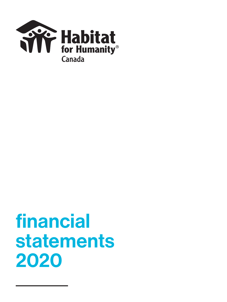

## financial statements 2020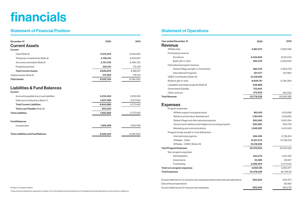# financials

### Statement of Financial Position

| December 31                               | 2020      | 2019      |
|-------------------------------------------|-----------|-----------|
| <b>Current Assets</b>                     |           |           |
| <b>Current</b>                            |           |           |
| Cash (Note 3)                             | 3,074,543 | 3,046,822 |
| Temporary investments (Note 4)            | 2,748,441 | 2,502,837 |
| Accounts receivable (Note 5)              | 2,701,740 | 2,466,720 |
| Prepaid expenses                          | 325,150   | 172,138   |
| <b>Total Current Assets</b>               | 8,849,874 | 8,188,517 |
| Capital assets (Note 6)                   | 170,460   | 178,413   |
| <b>Total Assets</b>                       | 9,020,334 | 8,366,930 |
| Accounts payable & accrued liabilities    | 3,233,400 | 2,819,529 |
| <b>Current</b>                            |           |           |
| Deferred contributions (Note 7)           | 3,607,466 | 3,917,933 |
| <b>Total Current Liabilities</b>          | 6,840,866 | 6,737,462 |
| Total Loan Payable (Note 8)               | 250,000   |           |
| <b>Total Liabilities</b>                  | 7,090,866 | 6,737,462 |
| <b>Fund Balances</b>                      |           |           |
| Unrestricted                              | 1,929,468 | 1,629,468 |
| <b>Total Liabilities and Fund Balance</b> | 9,020,344 | 8,366,930 |

### Statement of Operations

| <b>Year ended December 31</b>                                               | 2020       | 2019       |
|-----------------------------------------------------------------------------|------------|------------|
| <b>Revenue</b>                                                              |            |            |
| Affiliate fees                                                              | 4,981,572  | 5,655,595  |
| Fundraising revenue                                                         |            |            |
| Donations                                                                   | 6,453,659  | 8,133,045  |
| Build gift-in-kind                                                          | 964,376    | 2,059,500  |
| International program revenue                                               |            |            |
| Global Village and gift-in-kind airfare                                     | 683,379    | 3,262,078  |
| <b>International Programs</b>                                               | 321,577    | 427,862    |
| <b>CMHC Contribution (Note 10)</b>                                          | 12,318,992 |            |
| ReStore gift-in-kind                                                        | 6,609,751  | 6,795,383  |
| Liquidation purchase products (Note 9)                                      | 438,888    |            |
| Government Subsidy                                                          | 732,902    |            |
| Other revenue                                                               | 272,930    | 262,529    |
| <b>Total Revenue</b>                                                        | 33,778,026 | 26,595,992 |
| <b>Expenses</b>                                                             |            |            |
| Program expenses                                                            |            |            |
| Affiliate support and governance                                            | 861,815    | 1,012,686  |
| ReStore and product development                                             | 1,190,918  | 1,019,852  |
| Global Village and international programs                                   | 593,260    | 1,630,204  |
| Government relations and Indigenous housing program                         | 290,060    | 236,736    |
| Marketing and communications                                                | 1,049,287  | 1,443,935  |
| Program funds and gift-in-kind distribution                                 |            |            |
| International programs                                                      | 594,295    | 2,795,814  |
| Affiliates - Other                                                          | 13,521,273 | 14,798,015 |
| Affiliates - CMHC (Note 10)                                                 | 12,318,992 |            |
| <b>Total Program Expenses</b>                                               | 30,419,900 | 22,937,242 |
| Non-program expenses                                                        |            |            |
| Administration                                                              | 944,273    | 1,244,190  |
| Governance                                                                  | 24,389     | 89,647     |
| Fundraising                                                                 | 2,089,464  | 2,477,040  |
| Total non-program expenses                                                  | 3,058,126  | 3,810,877  |
| <b>Total Expenses</b>                                                       | 33,478,026 | 26,748,119 |
|                                                                             |            |            |
| Excess (deficiency) of revenue over expenses before discontinued operations | 300,000    | (152, 127) |
| Discontinued operations                                                     |            | 82,852     |
| Excess (deficiency) of revenue over expenses                                | 300,000    | (69, 275)  |
|                                                                             |            |            |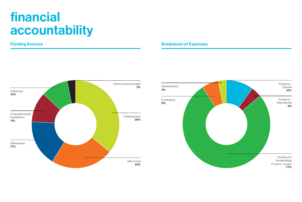## financial accountability

#### Funding Sources



#### Breakdown of Expenses